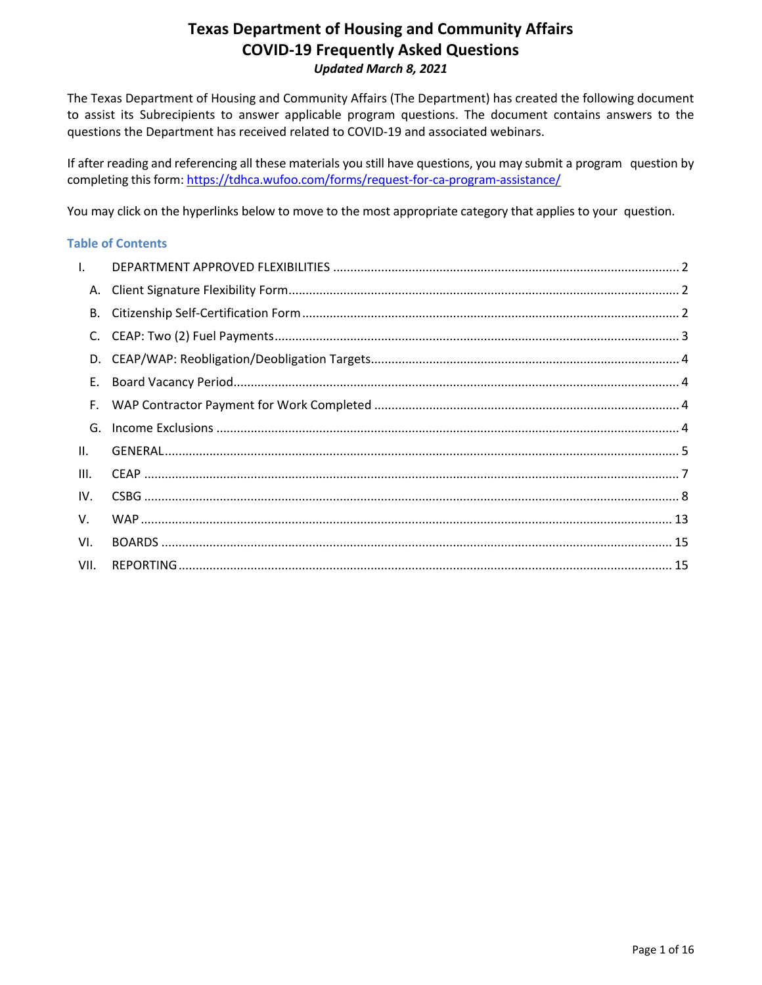The Texas Department of Housing and Community Affairs (The Department) has created the following document to assist its Subrecipients to answer applicable program questions. The document contains answers to the questions the Department has received related to COVID-19 and associated webinars.

If after reading and referencing all these materials you still have questions, you may submit a program question by completing this form: <https://tdhca.wufoo.com/forms/request-for-ca-program-assistance/>

You may click on the hyperlinks below to move to the most appropriate category that applies to your question.

#### **Table of Contents**

| $\mathbf{L}$ |  |
|--------------|--|
|              |  |
| В.           |  |
|              |  |
|              |  |
| E.           |  |
|              |  |
| G.           |  |
| II.          |  |
| III.         |  |
| IV.          |  |
| V.           |  |
| VI.          |  |
| VII.         |  |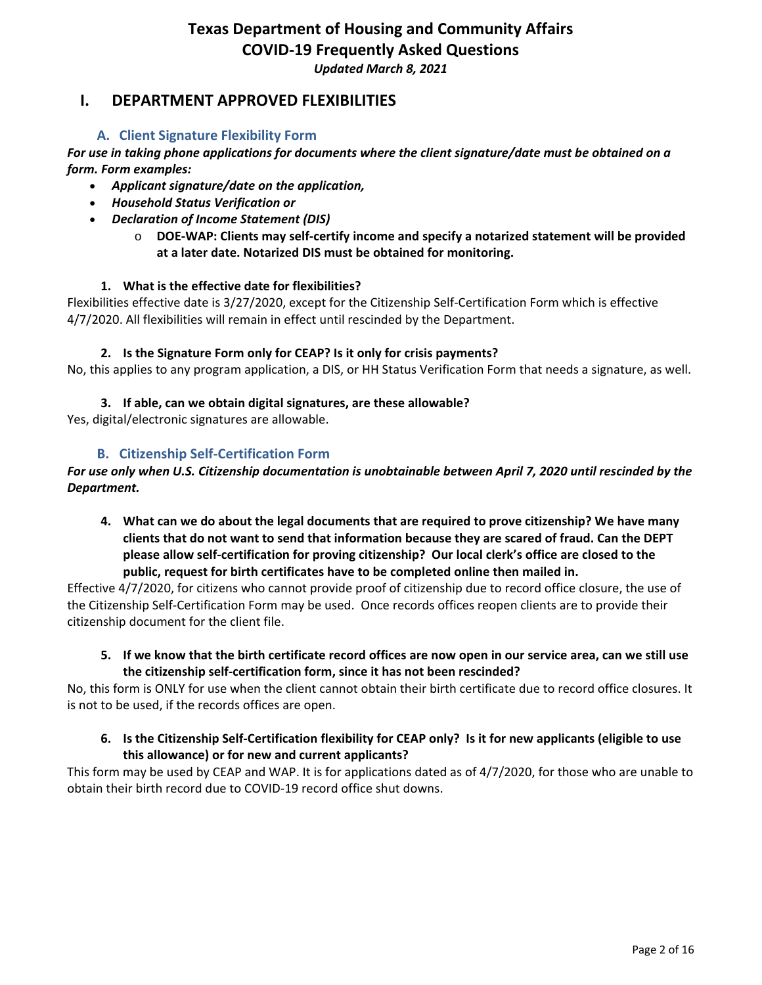*Updated March 8, 2021*

# <span id="page-1-0"></span>**I. DEPARTMENT APPROVED FLEXIBILITIES**

# **A. Client Signature Flexibility Form**

<span id="page-1-1"></span>*For use in taking phone applications for documents where the client signature/date must be obtained on a form. Form examples:*

- *Applicant signature/date on the application,*
- *Household Status Verification or*
- *Declaration of Income Statement (DIS)*
	- o **DOE-WAP: Clients may self-certify income and specify a notarized statement will be provided at a later date. Notarized DIS must be obtained for monitoring.**

### **1. What is the effective date for flexibilities?**

Flexibilities effective date is 3/27/2020, except for the Citizenship Self-Certification Form which is effective 4/7/2020. All flexibilities will remain in effect until rescinded by the Department.

### **2. Is the Signature Form only for CEAP? Is it only for crisis payments?**

No, this applies to any program application, a DIS, or HH Status Verification Form that needs a signature, as well.

### **3. If able, can we obtain digital signatures, are these allowable?**

Yes, digital/electronic signatures are allowable.

# **B. Citizenship Self-Certification Form**

### <span id="page-1-2"></span>*For use only when U.S. Citizenship documentation is unobtainable between April 7, 2020 until rescinded by the Department.*

**4. What can we do about the legal documents that are required to prove citizenship? We have many clients that do not want to send that information because they are scared of fraud. Can the DEPT please allow self-certification for proving citizenship? Our local clerk's office are closed to the public, request for birth certificates have to be completed online then mailed in.** 

Effective 4/7/2020, for citizens who cannot provide proof of citizenship due to record office closure, the use of the Citizenship Self-Certification Form may be used. Once records offices reopen clients are to provide their citizenship document for the client file.

**5. If we know that the birth certificate record offices are now open in our service area, can we still use the citizenship self-certification form, since it has not been rescinded?**

No, this form is ONLY for use when the client cannot obtain their birth certificate due to record office closures. It is not to be used, if the records offices are open.

**6. Is the Citizenship Self-Certification flexibility for CEAP only? Is it for new applicants (eligible to use this allowance) or for new and current applicants?**

This form may be used by CEAP and WAP. It is for applications dated as of 4/7/2020, for those who are unable to obtain their birth record due to COVID-19 record office shut downs.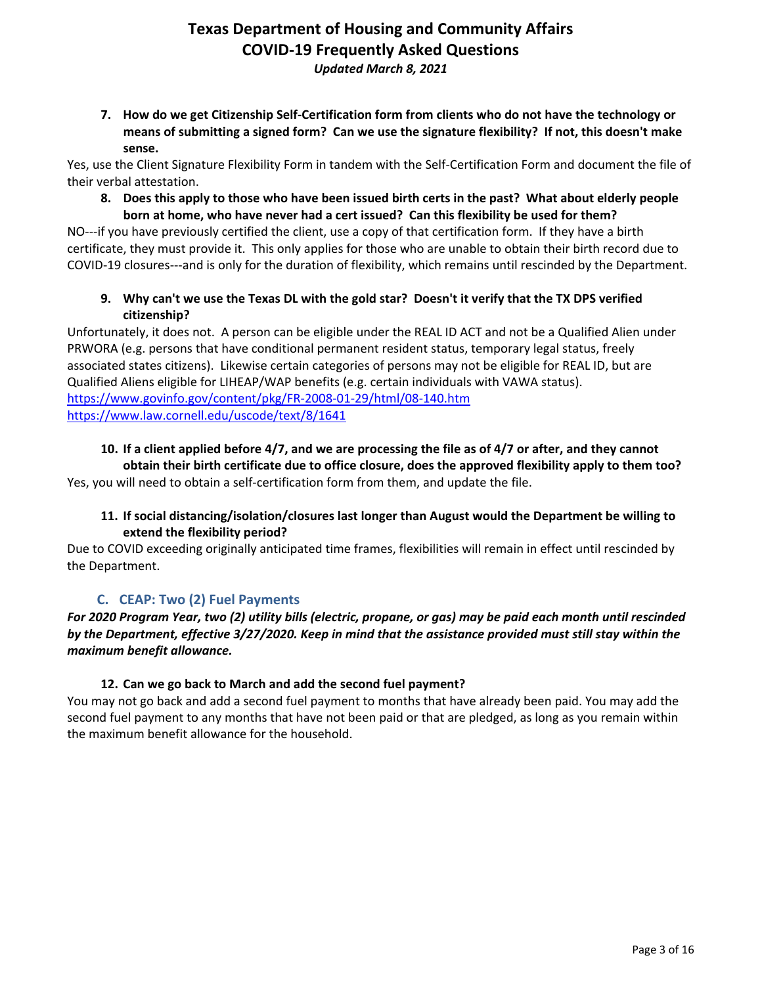**7. How do we get Citizenship Self-Certification form from clients who do not have the technology or means of submitting a signed form? Can we use the signature flexibility? If not, this doesn't make sense.**

Yes, use the Client Signature Flexibility Form in tandem with the Self-Certification Form and document the file of their verbal attestation.

**8. Does this apply to those who have been issued birth certs in the past? What about elderly people born at home, who have never had a cert issued? Can this flexibility be used for them?**

NO---if you have previously certified the client, use a copy of that certification form. If they have a birth certificate, they must provide it. This only applies for those who are unable to obtain their birth record due to COVID-19 closures---and is only for the duration of flexibility, which remains until rescinded by the Department.

**9. Why can't we use the Texas DL with the gold star? Doesn't it verify that the TX DPS verified citizenship?**

Unfortunately, it does not. A person can be eligible under the REAL ID ACT and not be a Qualified Alien under PRWORA (e.g. persons that have conditional permanent resident status, temporary legal status, freely associated states citizens). Likewise certain categories of persons may not be eligible for REAL ID, but are Qualified Aliens eligible for LIHEAP/WAP benefits (e.g. certain individuals with VAWA status). <https://www.govinfo.gov/content/pkg/FR-2008-01-29/html/08-140.htm> <https://www.law.cornell.edu/uscode/text/8/1641>

## **10. If a client applied before 4/7, and we are processing the file as of 4/7 or after, and they cannot obtain their birth certificate due to office closure, does the approved flexibility apply to them too?**

Yes, you will need to obtain a self-certification form from them, and update the file.

### **11. If social distancing/isolation/closures last longer than August would the Department be willing to extend the flexibility period?**

Due to COVID exceeding originally anticipated time frames, flexibilities will remain in effect until rescinded by the Department.

# **C. CEAP: Two (2) Fuel Payments**

# <span id="page-2-0"></span>*For 2020 Program Year, two (2) utility bills (electric, propane, or gas) may be paid each month until rescinded by the Department, effective 3/27/2020. Keep in mind that the assistance provided must still stay within the maximum benefit allowance.*

# **12. Can we go back to March and add the second fuel payment?**

You may not go back and add a second fuel payment to months that have already been paid. You may add the second fuel payment to any months that have not been paid or that are pledged, as long as you remain within the maximum benefit allowance for the household.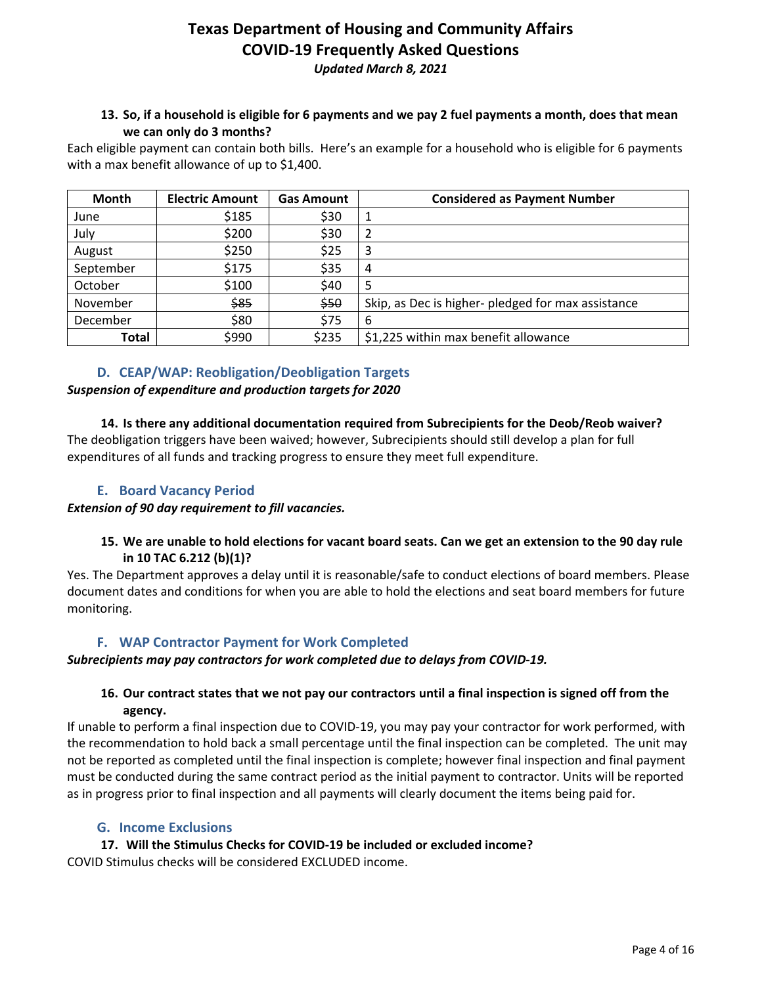*Updated March 8, 2021*

## **13. So, if a household is eligible for 6 payments and we pay 2 fuel payments a month, does that mean we can only do 3 months?**

Each eligible payment can contain both bills. Here's an example for a household who is eligible for 6 payments with a max benefit allowance of up to \$1,400.

| Month     | <b>Electric Amount</b> | <b>Gas Amount</b> | <b>Considered as Payment Number</b>                |
|-----------|------------------------|-------------------|----------------------------------------------------|
| June      | \$185                  | \$30              | 1                                                  |
| July      | \$200                  | \$30              | 2                                                  |
| August    | \$250                  | \$25              | 3                                                  |
| September | \$175                  | \$35              | 4                                                  |
| October   | \$100                  | \$40              | 5                                                  |
| November  | \$85                   | \$50              | Skip, as Dec is higher- pledged for max assistance |
| December  | \$80                   | \$75              | 6                                                  |
| Total     | \$990                  | \$235             | \$1,225 within max benefit allowance               |

### **D. CEAP/WAP: Reobligation/Deobligation Targets**

### <span id="page-3-0"></span>*Suspension of expenditure and production targets for 2020*

**14. Is there any additional documentation required from Subrecipients for the Deob/Reob waiver?** The deobligation triggers have been waived; however, Subrecipients should still develop a plan for full expenditures of all funds and tracking progress to ensure they meet full expenditure.

### **E. Board Vacancy Period**

### <span id="page-3-1"></span>*Extension of 90 day requirement to fill vacancies.*

### **15. We are unable to hold elections for vacant board seats. Can we get an extension to the 90 day rule in 10 TAC 6.212 (b)(1)?**

Yes. The Department approves a delay until it is reasonable/safe to conduct elections of board members. Please document dates and conditions for when you are able to hold the elections and seat board members for future monitoring.

# **F. WAP Contractor Payment for Work Completed**

### <span id="page-3-2"></span>*Subrecipients may pay contractors for work completed due to delays from COVID-19.*

### **16. Our contract states that we not pay our contractors until a final inspection is signed off from the agency.**

If unable to perform a final inspection due to COVID-19, you may pay your contractor for work performed, with the recommendation to hold back a small percentage until the final inspection can be completed. The unit may not be reported as completed until the final inspection is complete; however final inspection and final payment must be conducted during the same contract period as the initial payment to contractor. Units will be reported as in progress prior to final inspection and all payments will clearly document the items being paid for.

### **G. Income Exclusions**

<span id="page-3-3"></span>**17. Will the Stimulus Checks for COVID-19 be included or excluded income?** COVID Stimulus checks will be considered EXCLUDED income.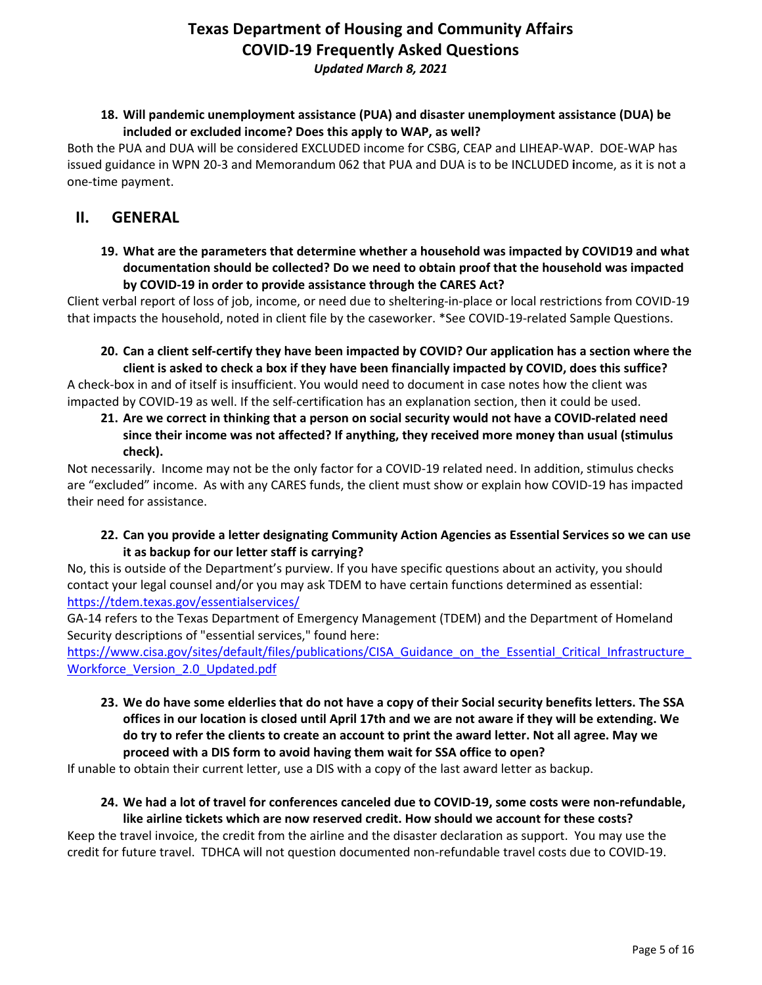*Updated March 8, 2021*

### **18. Will pandemic unemployment assistance (PUA) and disaster unemployment assistance (DUA) be included or excluded income? Does this apply to WAP, as well?**

Both the PUA and DUA will be considered EXCLUDED income for CSBG, CEAP and LIHEAP-WAP. DOE-WAP has issued guidance in WPN 20-3 and Memorandum 062 that PUA and DUA is to be INCLUDED **i**ncome, as it is not a one-time payment.

# <span id="page-4-0"></span>**II. GENERAL**

**19. What are the parameters that determine whether a household was impacted by COVID19 and what documentation should be collected? Do we need to obtain proof that the household was impacted by COVID-19 in order to provide assistance through the CARES Act?**

Client verbal report of loss of job, income, or need due to sheltering-in-place or local restrictions from COVID-19 that impacts the household, noted in client file by the caseworker. \*See COVID-19-related Sample Questions.

**20. Can a client self-certify they have been impacted by COVID? Our application has a section where the client is asked to check a box if they have been financially impacted by COVID, does this suffice?**

A check-box in and of itself is insufficient. You would need to document in case notes how the client was impacted by COVID-19 as well. If the self-certification has an explanation section, then it could be used.

**21. Are we correct in thinking that a person on social security would not have a COVID-related need since their income was not affected? If anything, they received more money than usual (stimulus check).**

Not necessarily. Income may not be the only factor for a COVID-19 related need. In addition, stimulus checks are "excluded" income. As with any CARES funds, the client must show or explain how COVID-19 has impacted their need for assistance.

**22. Can you provide a letter designating Community Action Agencies as Essential Services so we can use it as backup for our letter staff is carrying?**

No, this is outside of the Department's purview. If you have specific questions about an activity, you should contact your legal counsel and/or you may ask TDEM to have certain functions determined as essential: <https://tdem.texas.gov/essentialservices/>

GA-14 refers to the Texas Department of Emergency Management (TDEM) and the Department of Homeland Security descriptions of "essential services," found here:

https://www.cisa.gov/sites/default/files/publications/CISA Guidance on the Essential Critical Infrastructure Workforce Version 2.0 Updated.pdf

**23. We do have some elderlies that do not have a copy of their Social security benefits letters. The SSA offices in our location is closed until April 17th and we are not aware if they will be extending. We do try to refer the clients to create an account to print the award letter. Not all agree. May we proceed with a DIS form to avoid having them wait for SSA office to open?**

If unable to obtain their current letter, use a DIS with a copy of the last award letter as backup.

### **24. We had a lot of travel for conferences canceled due to COVID-19, some costs were non-refundable, like airline tickets which are now reserved credit. How should we account for these costs?**

Keep the travel invoice, the credit from the airline and the disaster declaration as support. You may use the credit for future travel. TDHCA will not question documented non-refundable travel costs due to COVID-19.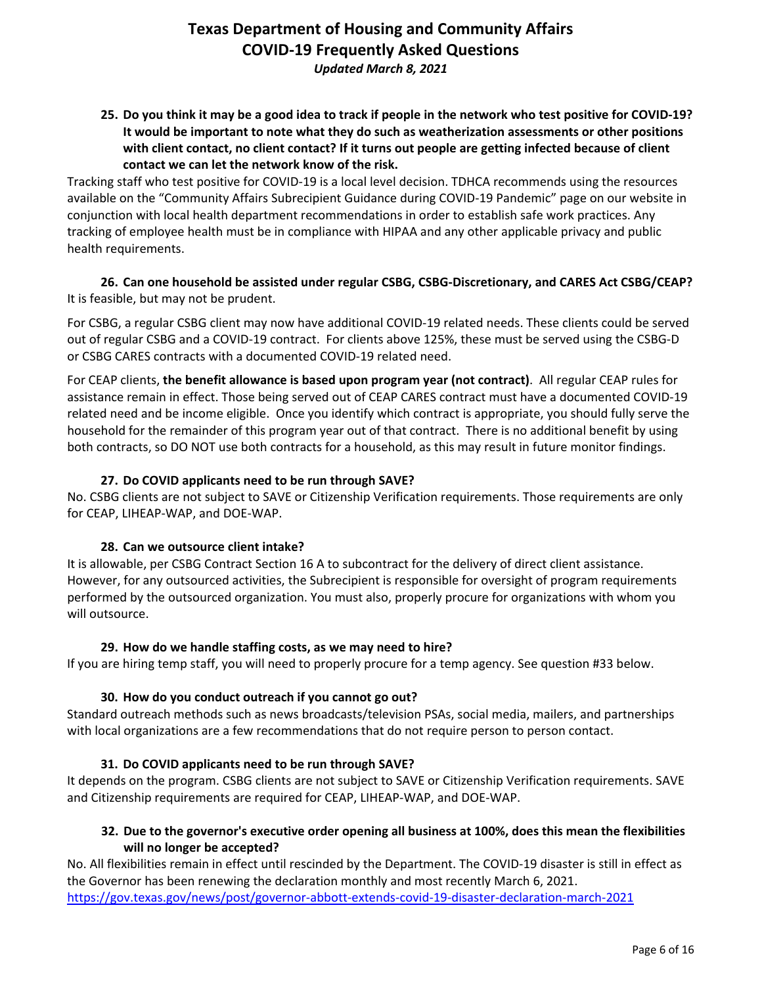*Updated March 8, 2021*

**25. Do you think it may be a good idea to track if people in the network who test positive for COVID-19? It would be important to note what they do such as weatherization assessments or other positions with client contact, no client contact? If it turns out people are getting infected because of client contact we can let the network know of the risk.**

Tracking staff who test positive for COVID-19 is a local level decision. TDHCA recommends using the resources available on the "Community Affairs Subrecipient Guidance during COVID-19 Pandemic" page on our website in conjunction with local health department recommendations in order to establish safe work practices. Any tracking of employee health must be in compliance with HIPAA and any other applicable privacy and public health requirements.

**26. Can one household be assisted under regular CSBG, CSBG-Discretionary, and CARES Act CSBG/CEAP?** It is feasible, but may not be prudent.

For CSBG, a regular CSBG client may now have additional COVID-19 related needs. These clients could be served out of regular CSBG and a COVID-19 contract. For clients above 125%, these must be served using the CSBG-D or CSBG CARES contracts with a documented COVID-19 related need.

For CEAP clients, **the benefit allowance is based upon program year (not contract)**. All regular CEAP rules for assistance remain in effect. Those being served out of CEAP CARES contract must have a documented COVID-19 related need and be income eligible. Once you identify which contract is appropriate, you should fully serve the household for the remainder of this program year out of that contract. There is no additional benefit by using both contracts, so DO NOT use both contracts for a household, as this may result in future monitor findings.

# **27. Do COVID applicants need to be run through SAVE?**

No. CSBG clients are not subject to SAVE or Citizenship Verification requirements. Those requirements are only for CEAP, LIHEAP-WAP, and DOE-WAP.

### **28. Can we outsource client intake?**

It is allowable, per CSBG Contract Section 16 A to subcontract for the delivery of direct client assistance. However, for any outsourced activities, the Subrecipient is responsible for oversight of program requirements performed by the outsourced organization. You must also, properly procure for organizations with whom you will outsource.

### **29. How do we handle staffing costs, as we may need to hire?**

If you are hiring temp staff, you will need to properly procure for a temp agency. See question #33 below.

### **30. How do you conduct outreach if you cannot go out?**

Standard outreach methods such as news broadcasts/television PSAs, social media, mailers, and partnerships with local organizations are a few recommendations that do not require person to person contact.

### **31. Do COVID applicants need to be run through SAVE?**

It depends on the program. CSBG clients are not subject to SAVE or Citizenship Verification requirements. SAVE and Citizenship requirements are required for CEAP, LIHEAP-WAP, and DOE-WAP.

### **32. Due to the governor's executive order opening all business at 100%, does this mean the flexibilities will no longer be accepted?**

No. All flexibilities remain in effect until rescinded by the Department. The COVID-19 disaster is still in effect as the Governor has been renewing the declaration monthly and most recently March 6, 2021. <https://gov.texas.gov/news/post/governor-abbott-extends-covid-19-disaster-declaration-march-2021>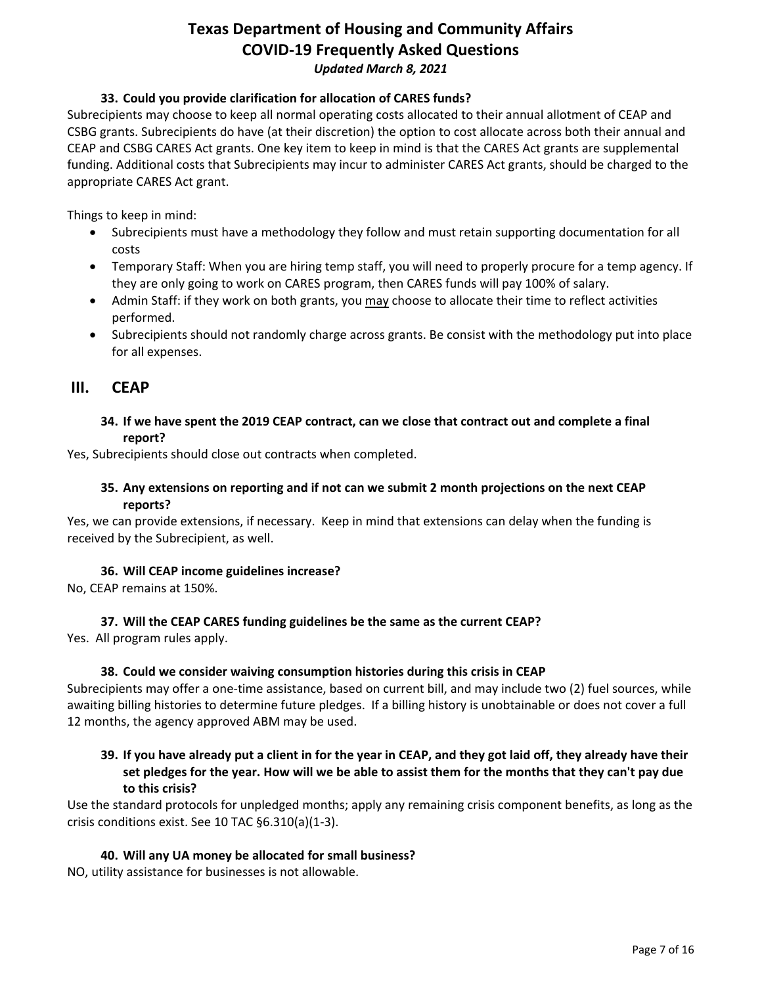### **33. Could you provide clarification for allocation of CARES funds?**

Subrecipients may choose to keep all normal operating costs allocated to their annual allotment of CEAP and CSBG grants. Subrecipients do have (at their discretion) the option to cost allocate across both their annual and CEAP and CSBG CARES Act grants. One key item to keep in mind is that the CARES Act grants are supplemental funding. Additional costs that Subrecipients may incur to administer CARES Act grants, should be charged to the appropriate CARES Act grant.

Things to keep in mind:

- Subrecipients must have a methodology they follow and must retain supporting documentation for all costs
- Temporary Staff: When you are hiring temp staff, you will need to properly procure for a temp agency. If they are only going to work on CARES program, then CARES funds will pay 100% of salary.
- Admin Staff: if they work on both grants, you may choose to allocate their time to reflect activities performed.
- Subrecipients should not randomly charge across grants. Be consist with the methodology put into place for all expenses.

# <span id="page-6-0"></span>**III. CEAP**

### **34. If we have spent the 2019 CEAP contract, can we close that contract out and complete a final report?**

Yes, Subrecipients should close out contracts when completed.

### **35. Any extensions on reporting and if not can we submit 2 month projections on the next CEAP reports?**

Yes, we can provide extensions, if necessary. Keep in mind that extensions can delay when the funding is received by the Subrecipient, as well.

### **36. Will CEAP income guidelines increase?**

No, CEAP remains at 150%.

### **37. Will the CEAP CARES funding guidelines be the same as the current CEAP?**

Yes. All program rules apply.

### **38. Could we consider waiving consumption histories during this crisis in CEAP**

Subrecipients may offer a one-time assistance, based on current bill, and may include two (2) fuel sources, while awaiting billing histories to determine future pledges. If a billing history is unobtainable or does not cover a full 12 months, the agency approved ABM may be used.

## **39. If you have already put a client in for the year in CEAP, and they got laid off, they already have their set pledges for the year. How will we be able to assist them for the months that they can't pay due to this crisis?**

Use the standard protocols for unpledged months; apply any remaining crisis component benefits, as long as the crisis conditions exist. See 10 TAC §6.310(a)(1-3).

### **40. Will any UA money be allocated for small business?**

NO, utility assistance for businesses is not allowable.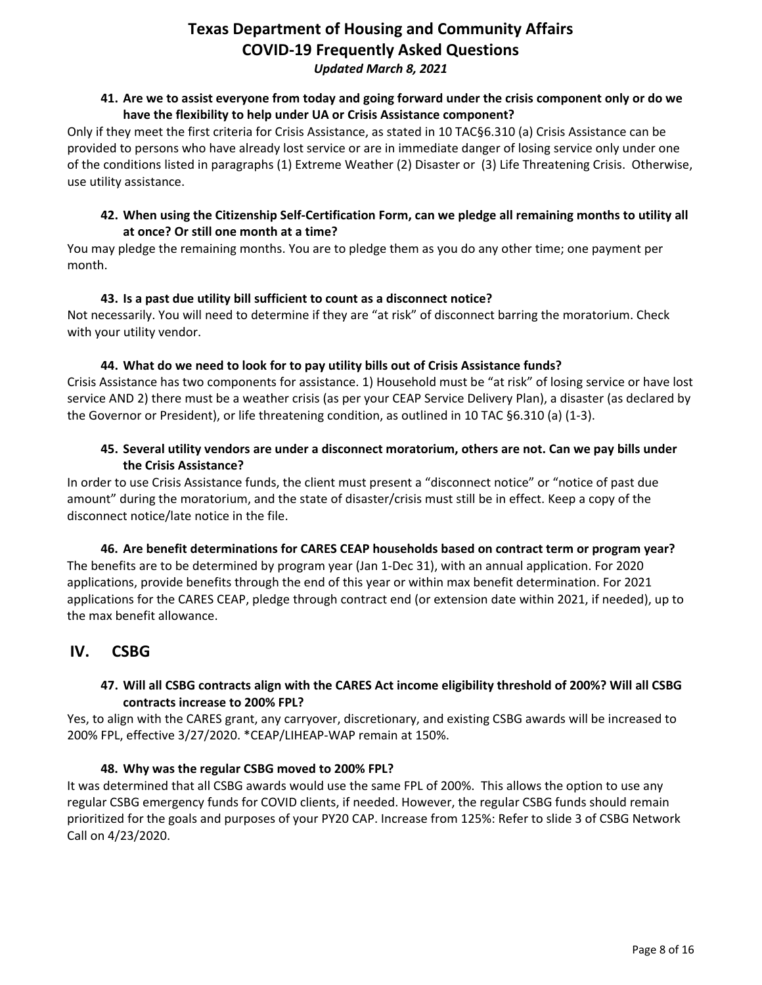*Updated March 8, 2021*

### **41. Are we to assist everyone from today and going forward under the crisis component only or do we have the flexibility to help under UA or Crisis Assistance component?**

Only if they meet the first criteria for Crisis Assistance, as stated in 10 TAC§6.310 (a) Crisis Assistance can be provided to persons who have already lost service or are in immediate danger of losing service only under one of the conditions listed in paragraphs (1) Extreme Weather (2) Disaster or (3) Life Threatening Crisis. Otherwise, use utility assistance.

## **42. When using the Citizenship Self-Certification Form, can we pledge all remaining months to utility all at once? Or still one month at a time?**

You may pledge the remaining months. You are to pledge them as you do any other time; one payment per month.

### **43. Is a past due utility bill sufficient to count as a disconnect notice?**

Not necessarily. You will need to determine if they are "at risk" of disconnect barring the moratorium. Check with your utility vendor.

### **44. What do we need to look for to pay utility bills out of Crisis Assistance funds?**

Crisis Assistance has two components for assistance. 1) Household must be "at risk" of losing service or have lost service AND 2) there must be a weather crisis (as per your CEAP Service Delivery Plan), a disaster (as declared by the Governor or President), or life threatening condition, as outlined in 10 TAC §6.310 (a) (1-3).

### **45. Several utility vendors are under a disconnect moratorium, others are not. Can we pay bills under the Crisis Assistance?**

In order to use Crisis Assistance funds, the client must present a "disconnect notice" or "notice of past due amount" during the moratorium, and the state of disaster/crisis must still be in effect. Keep a copy of the disconnect notice/late notice in the file.

**46. Are benefit determinations for CARES CEAP households based on contract term or program year?** The benefits are to be determined by program year (Jan 1-Dec 31), with an annual application. For 2020 applications, provide benefits through the end of this year or within max benefit determination. For 2021 applications for the CARES CEAP, pledge through contract end (or extension date within 2021, if needed), up to the max benefit allowance.

# <span id="page-7-0"></span>**IV. CSBG**

# **47. Will all CSBG contracts align with the CARES Act income eligibility threshold of 200%? Will all CSBG contracts increase to 200% FPL?**

Yes, to align with the CARES grant, any carryover, discretionary, and existing CSBG awards will be increased to 200% FPL, effective 3/27/2020. \*CEAP/LIHEAP-WAP remain at 150%.

### **48. Why was the regular CSBG moved to 200% FPL?**

It was determined that all CSBG awards would use the same FPL of 200%. This allows the option to use any regular CSBG emergency funds for COVID clients, if needed. However, the regular CSBG funds should remain prioritized for the goals and purposes of your PY20 CAP. Increase from 125%: Refer to slide 3 of CSBG Network Call on 4/23/2020.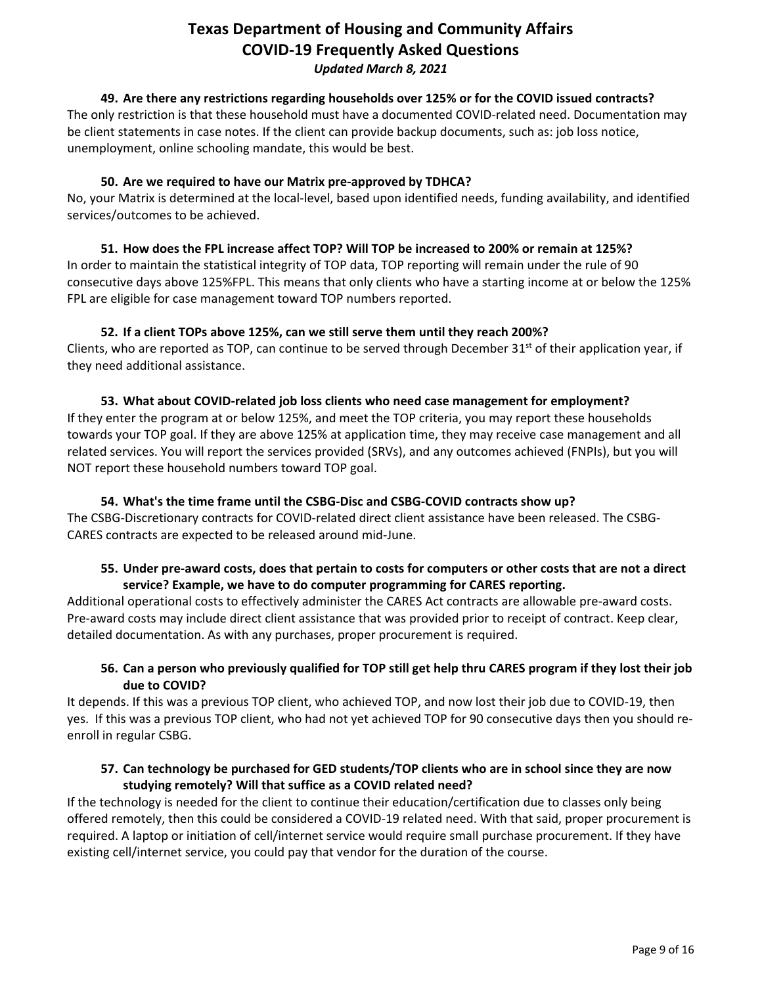### **49. Are there any restrictions regarding households over 125% or for the COVID issued contracts?**

The only restriction is that these household must have a documented COVID-related need. Documentation may be client statements in case notes. If the client can provide backup documents, such as: job loss notice, unemployment, online schooling mandate, this would be best.

# **50. Are we required to have our Matrix pre-approved by TDHCA?**

No, your Matrix is determined at the local-level, based upon identified needs, funding availability, and identified services/outcomes to be achieved.

# **51. How does the FPL increase affect TOP? Will TOP be increased to 200% or remain at 125%?** In order to maintain the statistical integrity of TOP data, TOP reporting will remain under the rule of 90 consecutive days above 125%FPL. This means that only clients who have a starting income at or below the 125% FPL are eligible for case management toward TOP numbers reported.

# **52. If a client TOPs above 125%, can we still serve them until they reach 200%?**

Clients, who are reported as TOP, can continue to be served through December  $31^{st}$  of their application year, if they need additional assistance.

# **53. What about COVID-related job loss clients who need case management for employment?**

If they enter the program at or below 125%, and meet the TOP criteria, you may report these households towards your TOP goal. If they are above 125% at application time, they may receive case management and all related services. You will report the services provided (SRVs), and any outcomes achieved (FNPIs), but you will NOT report these household numbers toward TOP goal.

## **54. What's the time frame until the CSBG-Disc and CSBG-COVID contracts show up?**

The CSBG-Discretionary contracts for COVID-related direct client assistance have been released. The CSBG-CARES contracts are expected to be released around mid-June.

### **55. Under pre-award costs, does that pertain to costs for computers or other costs that are not a direct service? Example, we have to do computer programming for CARES reporting.**

Additional operational costs to effectively administer the CARES Act contracts are allowable pre-award costs. Pre-award costs may include direct client assistance that was provided prior to receipt of contract. Keep clear, detailed documentation. As with any purchases, proper procurement is required.

# **56. Can a person who previously qualified for TOP still get help thru CARES program if they lost their job due to COVID?**

It depends. If this was a previous TOP client, who achieved TOP, and now lost their job due to COVID-19, then yes. If this was a previous TOP client, who had not yet achieved TOP for 90 consecutive days then you should reenroll in regular CSBG.

# **57. Can technology be purchased for GED students/TOP clients who are in school since they are now studying remotely? Will that suffice as a COVID related need?**

If the technology is needed for the client to continue their education/certification due to classes only being offered remotely, then this could be considered a COVID-19 related need. With that said, proper procurement is required. A laptop or initiation of cell/internet service would require small purchase procurement. If they have existing cell/internet service, you could pay that vendor for the duration of the course.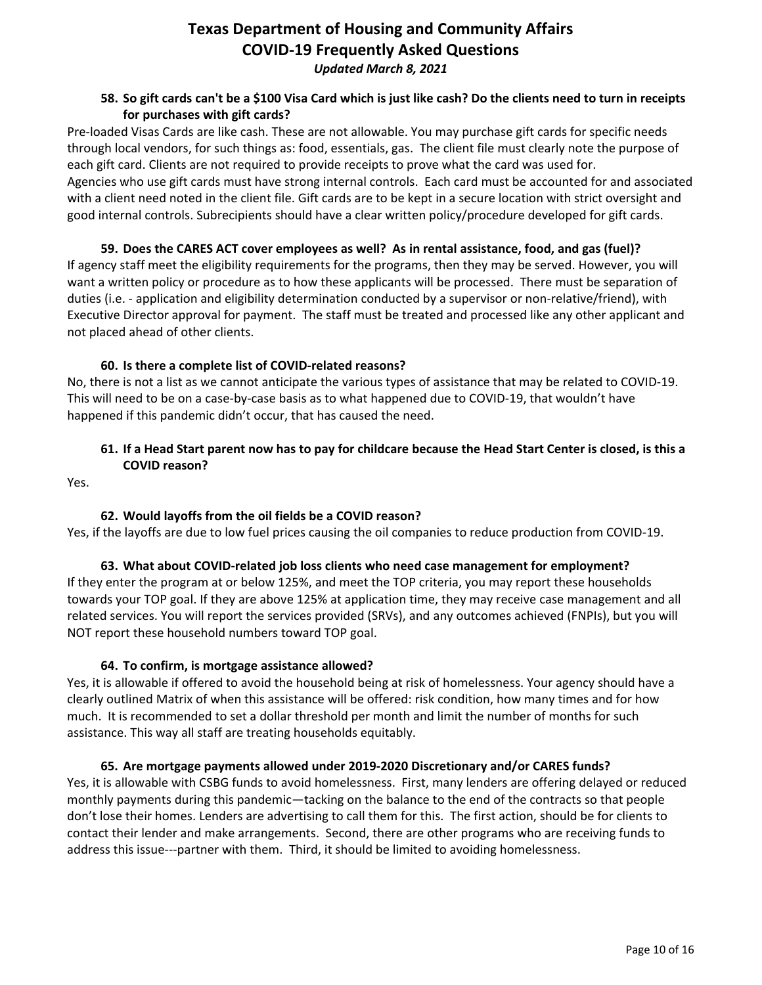### **58. So gift cards can't be a \$100 Visa Card which is just like cash? Do the clients need to turn in receipts for purchases with gift cards?**

Pre-loaded Visas Cards are like cash. These are not allowable. You may purchase gift cards for specific needs through local vendors, for such things as: food, essentials, gas. The client file must clearly note the purpose of each gift card. Clients are not required to provide receipts to prove what the card was used for. Agencies who use gift cards must have strong internal controls. Each card must be accounted for and associated with a client need noted in the client file. Gift cards are to be kept in a secure location with strict oversight and good internal controls. Subrecipients should have a clear written policy/procedure developed for gift cards.

**59. Does the CARES ACT cover employees as well? As in rental assistance, food, and gas (fuel)?** If agency staff meet the eligibility requirements for the programs, then they may be served. However, you will want a written policy or procedure as to how these applicants will be processed. There must be separation of duties (i.e. - application and eligibility determination conducted by a supervisor or non-relative/friend), with Executive Director approval for payment. The staff must be treated and processed like any other applicant and not placed ahead of other clients.

### **60. Is there a complete list of COVID-related reasons?**

No, there is not a list as we cannot anticipate the various types of assistance that may be related to COVID-19. This will need to be on a case-by-case basis as to what happened due to COVID-19, that wouldn't have happened if this pandemic didn't occur, that has caused the need.

# **61. If a Head Start parent now has to pay for childcare because the Head Start Center is closed, is this a COVID reason?**

Yes.

# **62. Would layoffs from the oil fields be a COVID reason?**

Yes, if the layoffs are due to low fuel prices causing the oil companies to reduce production from COVID-19.

### **63. What about COVID-related job loss clients who need case management for employment?**

If they enter the program at or below 125%, and meet the TOP criteria, you may report these households towards your TOP goal. If they are above 125% at application time, they may receive case management and all related services. You will report the services provided (SRVs), and any outcomes achieved (FNPIs), but you will NOT report these household numbers toward TOP goal.

### **64. To confirm, is mortgage assistance allowed?**

Yes, it is allowable if offered to avoid the household being at risk of homelessness. Your agency should have a clearly outlined Matrix of when this assistance will be offered: risk condition, how many times and for how much. It is recommended to set a dollar threshold per month and limit the number of months for such assistance. This way all staff are treating households equitably.

# **65. Are mortgage payments allowed under 2019-2020 Discretionary and/or CARES funds?**

Yes, it is allowable with CSBG funds to avoid homelessness. First, many lenders are offering delayed or reduced monthly payments during this pandemic—tacking on the balance to the end of the contracts so that people don't lose their homes. Lenders are advertising to call them for this. The first action, should be for clients to contact their lender and make arrangements. Second, there are other programs who are receiving funds to address this issue---partner with them. Third, it should be limited to avoiding homelessness.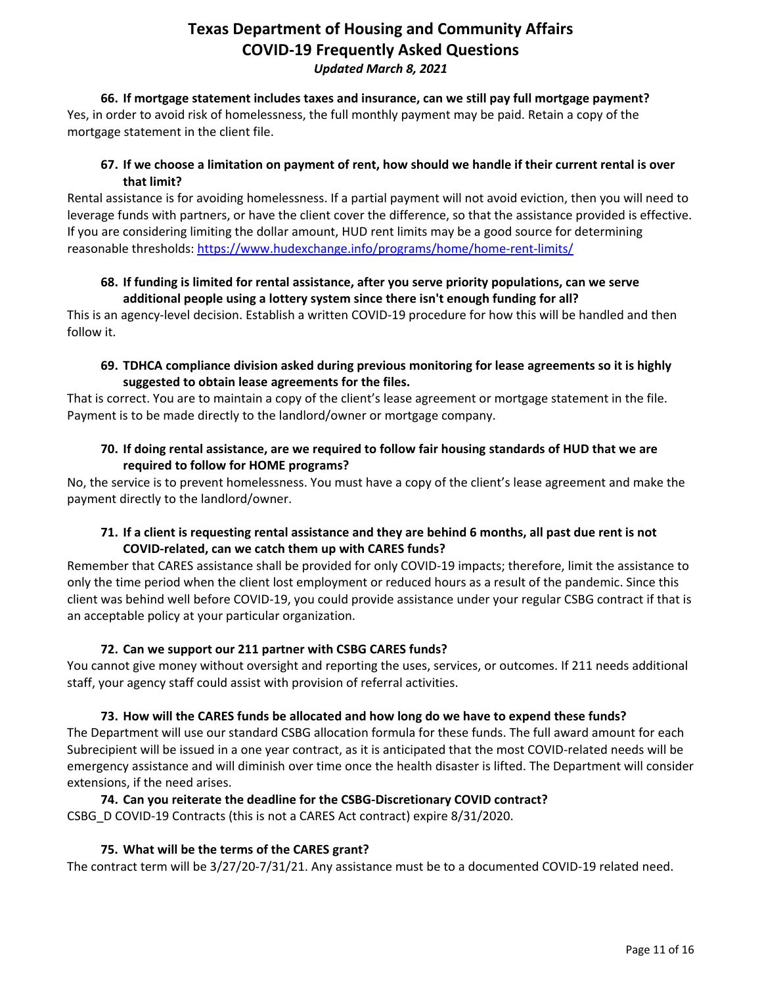**66. If mortgage statement includes taxes and insurance, can we still pay full mortgage payment?** Yes, in order to avoid risk of homelessness, the full monthly payment may be paid. Retain a copy of the mortgage statement in the client file.

# **67. If we choose a limitation on payment of rent, how should we handle if their current rental is over that limit?**

Rental assistance is for avoiding homelessness. If a partial payment will not avoid eviction, then you will need to leverage funds with partners, or have the client cover the difference, so that the assistance provided is effective. If you are considering limiting the dollar amount, HUD rent limits may be a good source for determining reasonable thresholds[: https://www.hudexchange.info/programs/home/home-rent-limits/](https://www.hudexchange.info/programs/home/home-rent-limits/)

## **68. If funding is limited for rental assistance, after you serve priority populations, can we serve additional people using a lottery system since there isn't enough funding for all?**

This is an agency-level decision. Establish a written COVID-19 procedure for how this will be handled and then follow it.

# **69. TDHCA compliance division asked during previous monitoring for lease agreements so it is highly suggested to obtain lease agreements for the files.**

That is correct. You are to maintain a copy of the client's lease agreement or mortgage statement in the file. Payment is to be made directly to the landlord/owner or mortgage company.

# **70. If doing rental assistance, are we required to follow fair housing standards of HUD that we are required to follow for HOME programs?**

No, the service is to prevent homelessness. You must have a copy of the client's lease agreement and make the payment directly to the landlord/owner.

# **71. If a client is requesting rental assistance and they are behind 6 months, all past due rent is not COVID-related, can we catch them up with CARES funds?**

Remember that CARES assistance shall be provided for only COVID-19 impacts; therefore, limit the assistance to only the time period when the client lost employment or reduced hours as a result of the pandemic. Since this client was behind well before COVID-19, you could provide assistance under your regular CSBG contract if that is an acceptable policy at your particular organization.

# **72. Can we support our 211 partner with CSBG CARES funds?**

You cannot give money without oversight and reporting the uses, services, or outcomes. If 211 needs additional staff, your agency staff could assist with provision of referral activities.

# **73. How will the CARES funds be allocated and how long do we have to expend these funds?**

The Department will use our standard CSBG allocation formula for these funds. The full award amount for each Subrecipient will be issued in a one year contract, as it is anticipated that the most COVID-related needs will be emergency assistance and will diminish over time once the health disaster is lifted. The Department will consider extensions, if the need arises.

### **74. Can you reiterate the deadline for the CSBG-Discretionary COVID contract?** CSBG\_D COVID-19 Contracts (this is not a CARES Act contract) expire 8/31/2020.

# **75. What will be the terms of the CARES grant?**

The contract term will be 3/27/20-7/31/21. Any assistance must be to a documented COVID-19 related need.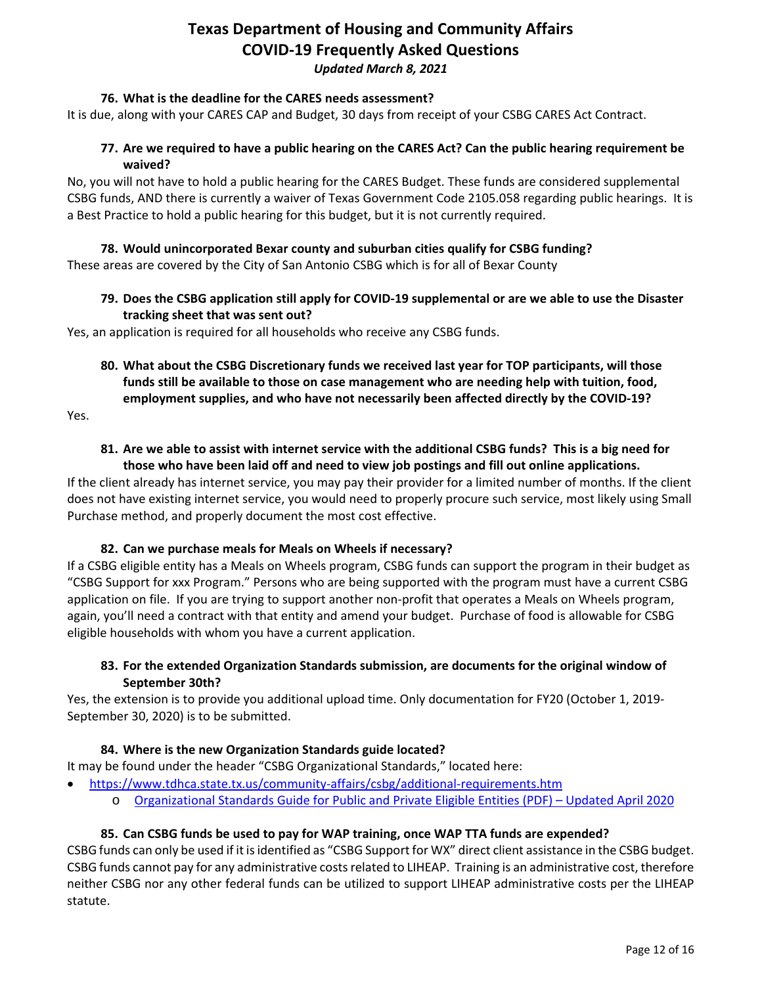### **76. What is the deadline for the CARES needs assessment?**

It is due, along with your CARES CAP and Budget, 30 days from receipt of your CSBG CARES Act Contract.

### **77. Are we required to have a public hearing on the CARES Act? Can the public hearing requirement be waived?**

No, you will not have to hold a public hearing for the CARES Budget. These funds are considered supplemental CSBG funds, AND there is currently a waiver of Texas Government Code 2105.058 regarding public hearings. It is a Best Practice to hold a public hearing for this budget, but it is not currently required.

# **78. Would unincorporated Bexar county and suburban cities qualify for CSBG funding?**

These areas are covered by the City of San Antonio CSBG which is for all of Bexar County

# **79. Does the CSBG application still apply for COVID-19 supplemental or are we able to use the Disaster tracking sheet that was sent out?**

Yes, an application is required for all households who receive any CSBG funds.

**80. What about the CSBG Discretionary funds we received last year for TOP participants, will those funds still be available to those on case management who are needing help with tuition, food, employment supplies, and who have not necessarily been affected directly by the COVID-19?**

Yes.

## **81. Are we able to assist with internet service with the additional CSBG funds? This is a big need for those who have been laid off and need to view job postings and fill out online applications.**

If the client already has internet service, you may pay their provider for a limited number of months. If the client does not have existing internet service, you would need to properly procure such service, most likely using Small Purchase method, and properly document the most cost effective.

### **82. Can we purchase meals for Meals on Wheels if necessary?**

If a CSBG eligible entity has a Meals on Wheels program, CSBG funds can support the program in their budget as "CSBG Support for xxx Program." Persons who are being supported with the program must have a current CSBG application on file. If you are trying to support another non-profit that operates a Meals on Wheels program, again, you'll need a contract with that entity and amend your budget. Purchase of food is allowable for CSBG eligible households with whom you have a current application.

### **83. For the extended Organization Standards submission, are documents for the original window of September 30th?**

Yes, the extension is to provide you additional upload time. Only documentation for FY20 (October 1, 2019- September 30, 2020) is to be submitted.

### **84. Where is the new Organization Standards guide located?**

It may be found under the header "CSBG Organizational Standards," located here:

- <https://www.tdhca.state.tx.us/community-affairs/csbg/additional-requirements.htm>
	- o [Organizational Standards Guide for Public and Private Eligible Entities \(PDF\) –](https://www.tdhca.state.tx.us/community-affairs/csbg/docs/OrgStandards-PubPriv-EligibleEntities.pdf) Updated April 2020

### **85. Can CSBG funds be used to pay for WAP training, once WAP TTA funds are expended?**

CSBG funds can only be used if it is identified as "CSBG Support for WX" direct client assistance in the CSBG budget. CSBG funds cannot pay for any administrative costs related to LIHEAP. Training is an administrative cost, therefore neither CSBG nor any other federal funds can be utilized to support LIHEAP administrative costs per the LIHEAP statute.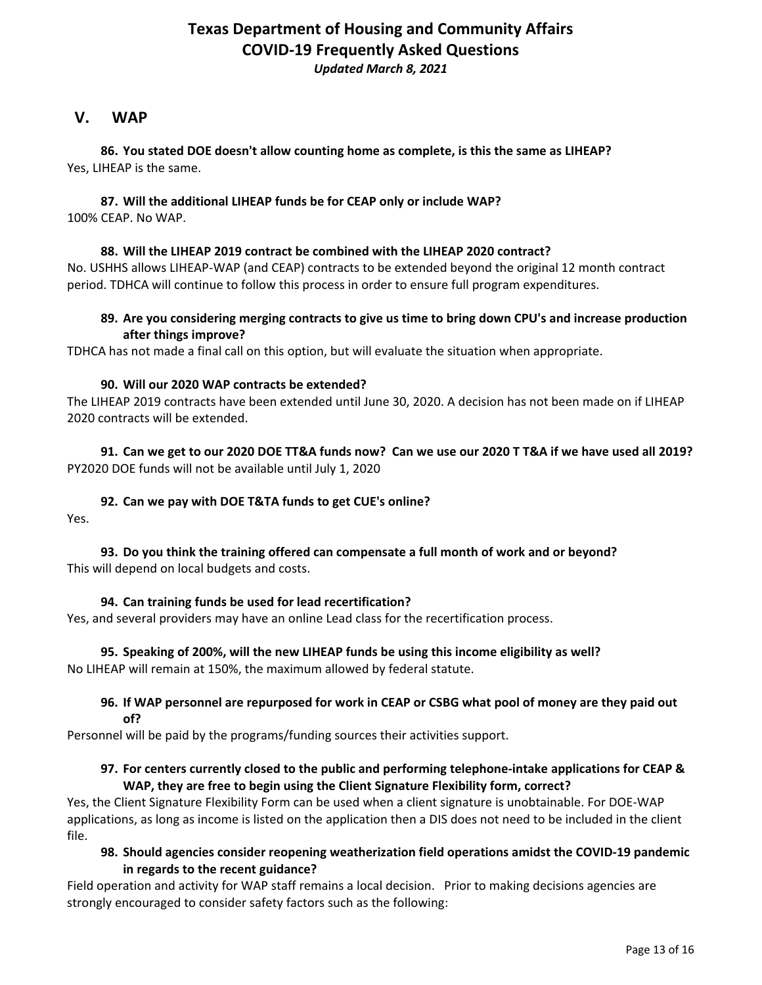# *Updated March 8, 2021*

# <span id="page-12-0"></span>**V. WAP**

**86. You stated DOE doesn't allow counting home as complete, is this the same as LIHEAP?** Yes, LIHEAP is the same.

#### **87. Will the additional LIHEAP funds be for CEAP only or include WAP?** 100% CEAP. No WAP.

### **88. Will the LIHEAP 2019 contract be combined with the LIHEAP 2020 contract?**

No. USHHS allows LIHEAP-WAP (and CEAP) contracts to be extended beyond the original 12 month contract period. TDHCA will continue to follow this process in order to ensure full program expenditures.

### **89. Are you considering merging contracts to give us time to bring down CPU's and increase production after things improve?**

TDHCA has not made a final call on this option, but will evaluate the situation when appropriate.

#### **90. Will our 2020 WAP contracts be extended?**

The LIHEAP 2019 contracts have been extended until June 30, 2020. A decision has not been made on if LIHEAP 2020 contracts will be extended.

**91. Can we get to our 2020 DOE TT&A funds now? Can we use our 2020 T T&A if we have used all 2019?**  PY2020 DOE funds will not be available until July 1, 2020

#### **92. Can we pay with DOE T&TA funds to get CUE's online?**

Yes.

### **93. Do you think the training offered can compensate a full month of work and or beyond?** This will depend on local budgets and costs.

### **94. Can training funds be used for lead recertification?**

Yes, and several providers may have an online Lead class for the recertification process.

#### **95. Speaking of 200%, will the new LIHEAP funds be using this income eligibility as well?** No LIHEAP will remain at 150%, the maximum allowed by federal statute.

#### **96. If WAP personnel are repurposed for work in CEAP or CSBG what pool of money are they paid out of?**

Personnel will be paid by the programs/funding sources their activities support.

### **97. For centers currently closed to the public and performing telephone-intake applications for CEAP & WAP, they are free to begin using the Client Signature Flexibility form, correct?**

Yes, the Client Signature Flexibility Form can be used when a client signature is unobtainable. For DOE-WAP applications, as long as income is listed on the application then a DIS does not need to be included in the client file.

### **98. Should agencies consider reopening weatherization field operations amidst the COVID-19 pandemic in regards to the recent guidance?**

Field operation and activity for WAP staff remains a local decision. Prior to making decisions agencies are strongly encouraged to consider safety factors such as the following: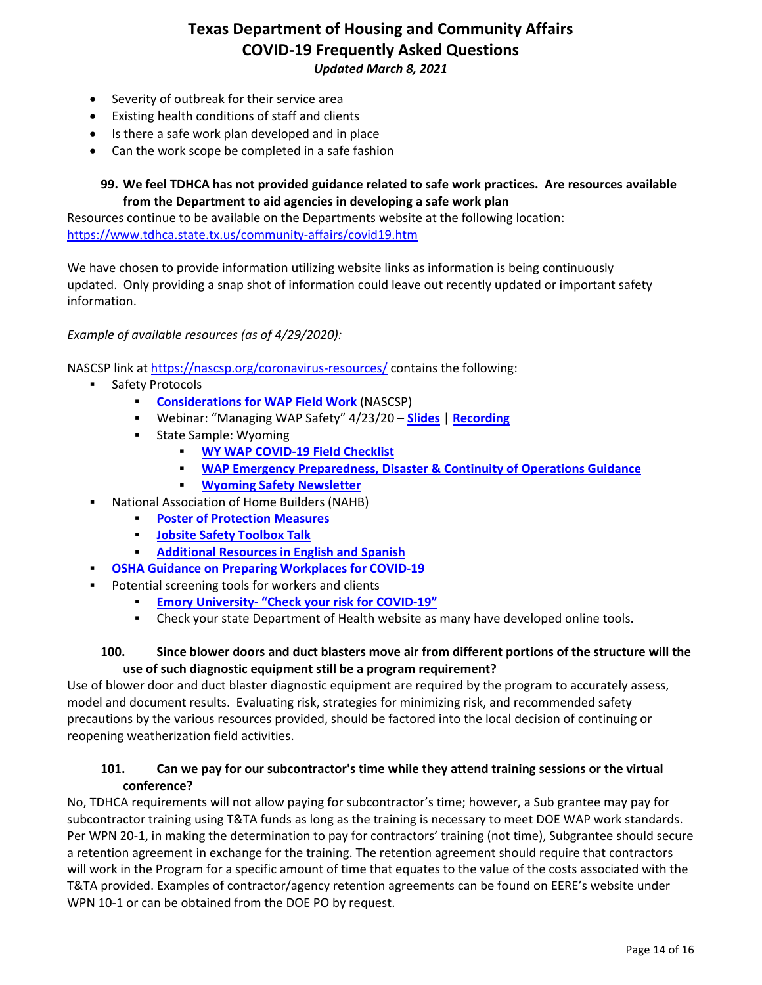- Severity of outbreak for their service area
- Existing health conditions of staff and clients
- Is there a safe work plan developed and in place
- Can the work scope be completed in a safe fashion

### **99. We feel TDHCA has not provided guidance related to safe work practices. Are resources available from the Department to aid agencies in developing a safe work plan**

Resources continue to be available on the Departments website at the following location: <https://www.tdhca.state.tx.us/community-affairs/covid19.htm>

We have chosen to provide information utilizing website links as information is being continuously updated. Only providing a snap shot of information could leave out recently updated or important safety information.

### *Example of available resources (as of 4/29/2020):*

NASCSP link at<https://nascsp.org/coronavirus-resources/> contains the following:

- Safety Protocols
	- **[Considerations for WAP Field Work](https://nascsp.org/wp-content/uploads/2020/04/COVID-Considerations-for-Fieldwork.pdf)** (NASCSP)
	- Webinar: "Managing WAP Safety" 4/23/20 **[Slides](https://nascsp.org/wp-content/uploads/2020/04/042320_NASCSP-Managing-WAP-Safety-in-COVID-19.pdf)** | **[Recording](https://attendee.gotowebinar.com/recording/658130683435448591)**
	- **State Sample: Wyoming** 
		- **[WY WAP COVID-19 Field Checklist](https://nascsp.org/wp-content/uploads/2020/04/WY-covid-checklist.pdf)**
		- **[WAP Emergency Preparedness, Disaster & Continuity of Operations Guidance](https://nascsp.org/wp-content/uploads/2020/04/WY-COOPEMPREP2020UPDATEfinal.pdf)**
		- **[Wyoming Safety Newsletter](https://nascsp.org/wp-content/uploads/2020/04/WY-01021971safetyenewslette3102020.pdf)**
- National Association of Home Builders (NAHB)
	- **[Poster of Protection Measures](https://www.nahb.org/-/media/NAHB/advocacy/docs/industry-issues/disaster-response/coronavirus-jobsite-infection-prevention-measures-large.pdf)**
	- **[Jobsite Safety Toolbox Talk](https://nascsp.org/wp-content/uploads/2020/04/NAHB-jobsite-safety-toolbox-talk.docx)**
	- **[Additional Resources in English and Spanish](https://www.nahb.org/Advocacy/Industry-Issues/Emergency-Preparedness-and-Response/Coronavirus-Preparedness/Protect-Your-Business/Construction-Jobsite-Safety-Recommendations)**
	- **[OSHA Guidance on Preparing Workplaces for COVID-19](https://www.osha.gov/Publications/OSHA3990.pdf)**
- Potential screening tools for workers and clients
	- **Emory University- ["Check your risk for COVID-19"](https://c19check.com/start)**
	- Check your state Department of Health website as many have developed online tools.

#### **100. Since blower doors and duct blasters move air from different portions of the structure will the use of such diagnostic equipment still be a program requirement?**

Use of blower door and duct blaster diagnostic equipment are required by the program to accurately assess, model and document results. Evaluating risk, strategies for minimizing risk, and recommended safety precautions by the various resources provided, should be factored into the local decision of continuing or reopening weatherization field activities.

### **101. Can we pay for our subcontractor's time while they attend training sessions or the virtual conference?**

No, TDHCA requirements will not allow paying for subcontractor's time; however, a Sub grantee may pay for subcontractor training using T&TA funds as long as the training is necessary to meet DOE WAP work standards. Per WPN 20-1, in making the determination to pay for contractors' training (not time), Subgrantee should secure a retention agreement in exchange for the training. The retention agreement should require that contractors will work in the Program for a specific amount of time that equates to the value of the costs associated with the T&TA provided. Examples of contractor/agency retention agreements can be found on EERE's website under WPN 10-1 or can be obtained from the DOE PO by request.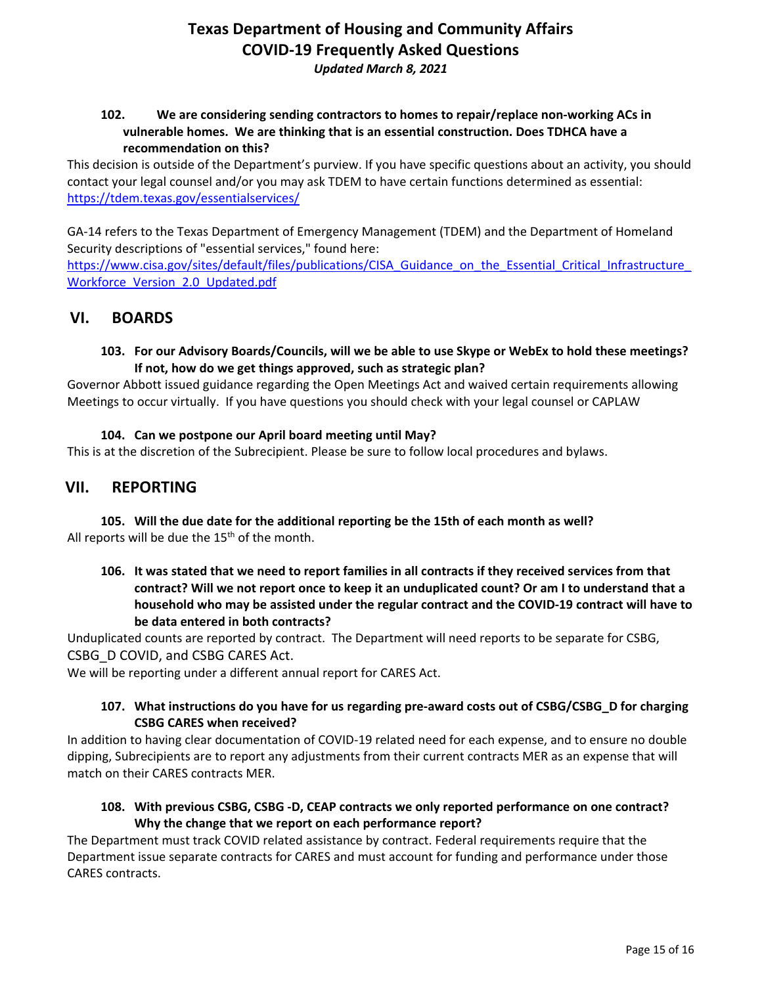## **102. We are considering sending contractors to homes to repair/replace non-working ACs in vulnerable homes. We are thinking that is an essential construction. Does TDHCA have a recommendation on this?**

This decision is outside of the Department's purview. If you have specific questions about an activity, you should contact your legal counsel and/or you may ask TDEM to have certain functions determined as essential: <https://tdem.texas.gov/essentialservices/>

GA-14 refers to the Texas Department of Emergency Management (TDEM) and the Department of Homeland Security descriptions of "essential services," found here:

https://www.cisa.gov/sites/default/files/publications/CISA Guidance on the Essential Critical Infrastructure Workforce Version 2.0 Updated.pdf

# <span id="page-14-0"></span>**VI. BOARDS**

### **103. For our Advisory Boards/Councils, will we be able to use Skype or WebEx to hold these meetings? If not, how do we get things approved, such as strategic plan?**

Governor Abbott issued guidance regarding the Open Meetings Act and waived certain requirements allowing Meetings to occur virtually. If you have questions you should check with your legal counsel or CAPLAW

### **104. Can we postpone our April board meeting until May?**

This is at the discretion of the Subrecipient. Please be sure to follow local procedures and bylaws.

# <span id="page-14-1"></span>**VII. REPORTING**

**105. Will the due date for the additional reporting be the 15th of each month as well?** All reports will be due the  $15<sup>th</sup>$  of the month.

**106. It was stated that we need to report families in all contracts if they received services from that contract? Will we not report once to keep it an unduplicated count? Or am I to understand that a household who may be assisted under the regular contract and the COVID-19 contract will have to be data entered in both contracts?** 

Unduplicated counts are reported by contract. The Department will need reports to be separate for CSBG, CSBG\_D COVID, and CSBG CARES Act.

We will be reporting under a different annual report for CARES Act.

### **107. What instructions do you have for us regarding pre-award costs out of CSBG/CSBG\_D for charging CSBG CARES when received?**

In addition to having clear documentation of COVID-19 related need for each expense, and to ensure no double dipping, Subrecipients are to report any adjustments from their current contracts MER as an expense that will match on their CARES contracts MER.

### **108. With previous CSBG, CSBG -D, CEAP contracts we only reported performance on one contract? Why the change that we report on each performance report?**

The Department must track COVID related assistance by contract. Federal requirements require that the Department issue separate contracts for CARES and must account for funding and performance under those CARES contracts.